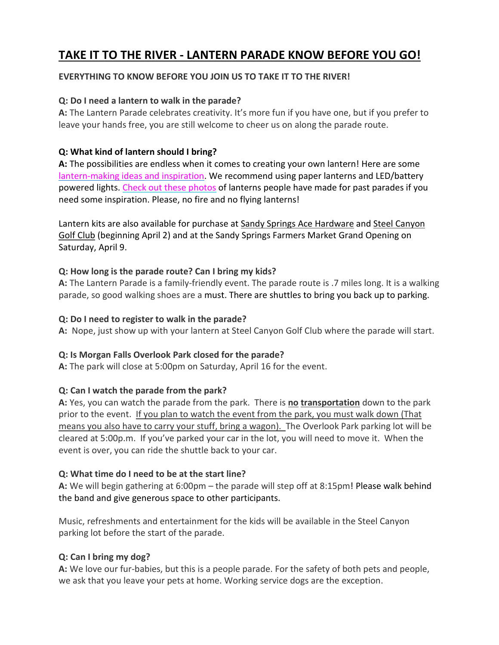# **TAKE IT TO THE RIVER - LANTERN PARADE KNOW BEFORE YOU GO!**

### **EVERYTHING TO KNOW BEFORE YOU JOIN US TO TAKE IT TO THE RIVER!**

### **Q: Do I need a lantern to walk in the parade?**

**A:** The Lantern Parade celebrates creativity. It's more fun if you have one, but if you prefer to leave your hands free, you are still welcome to cheer us on along the parade route.

## **Q: What kind of lantern should I bring?**

**A:** The possibilities are endless when it comes to creating your own lantern! Here are some [lantern-making](https://www.weirdgonepro.com/lantern-parade-resources) ideas and inspiration. We recommend using paper lanterns and LED/battery powered lights. Check out these [photos](https://www.weirdgonepro.com/lantern-workshop-gallery) of lanterns people have made for past parades if you need some inspiration. Please, no fire and no flying lanterns!

Lantern kits are also available for purchase at Sandy Springs Ace [Hardware](https://www.acehardware.com/store-details/16474) and Steel [Canyon](https://www.steelcanyongolfclub.com/) Golf [Club](https://www.steelcanyongolfclub.com/) (beginning April 2) and at the Sandy Springs Farmers Market Grand Opening on Saturday, April 9.

### **Q: How long is the parade route? Can I bring my kids?**

**A:** The Lantern Parade is a family-friendly event. The parade route is .7 miles long. It is a walking parade, so good walking shoes are a must. There are shuttles to bring you back up to parking.

### **Q: Do I need to register to walk in the parade?**

**A:** Nope, just show up with your lantern at Steel Canyon Golf Club where the parade will start.

### **Q: Is Morgan Falls Overlook Park closed for the parade?**

**A:** The park will close at 5:00pm on Saturday, April 16 for the event.

### **Q: Can I watch the parade from the park?**

**A:** Yes, you can watch the parade from the park. There is **no transportation** down to the park prior to the event. If you plan to watch the event from the park, you must walk down (That means you also have to carry your stuff, bring a wagon). The Overlook Park parking lot will be cleared at 5:00p.m. If you've parked your car in the lot, you will need to move it. When the event is over, you can ride the shuttle back to your car.

### **Q: What time do I need to be at the start line?**

**A:** We will begin gathering at 6:00pm – the parade will step off at 8:15pm! Please walk behind the band and give generous space to other participants.

Music, refreshments and entertainment for the kids will be available in the Steel Canyon parking lot before the start of the parade.

## **Q: Can I bring my dog?**

**A:** We love our fur-babies, but this is a people parade. For the safety of both pets and people, we ask that you leave your pets at home. Working service dogs are the exception.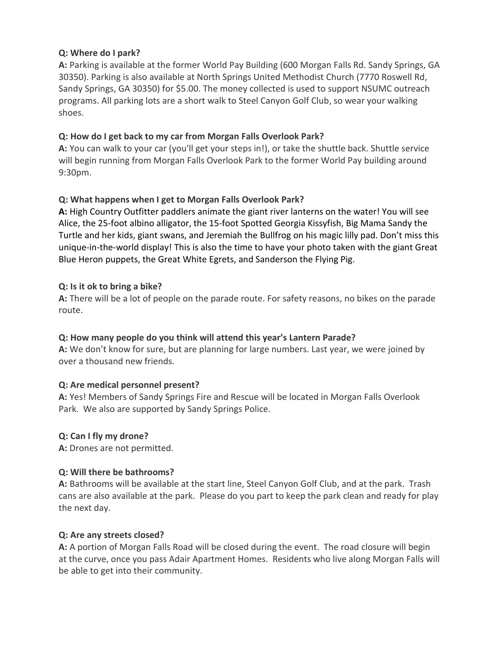### **Q: Where do I park?**

**A:** Parking is available at the former World Pay Building (600 Morgan Falls Rd. Sandy Springs, GA 30350). Parking is also available at North Springs United Methodist Church (7770 Roswell Rd, Sandy Springs, GA 30350) for \$5.00. The money collected is used to support NSUMC outreach programs. All parking lots are a short walk to Steel Canyon Golf Club, so wear your walking shoes.

## **Q: How do I get back to my car from Morgan Falls Overlook Park?**

**A:** You can walk to your car (you'll get your steps in!), or take the shuttle back. Shuttle service will begin running from Morgan Falls Overlook Park to the former World Pay building around 9:30pm.

## **Q: What happens when I get to Morgan Falls Overlook Park?**

**A:** High Country Outfitter paddlers animate the giant river lanterns on the water! You will see Alice, the 25-foot albino alligator, the 15-foot Spotted Georgia Kissyfish, Big Mama Sandy the Turtle and her kids, giant swans, and Jeremiah the Bullfrog on his magic lilly pad. Don't miss this unique-in-the-world display! This is also the time to have your photo taken with the giant Great Blue Heron puppets, the Great White Egrets, and Sanderson the Flying Pig.

## **Q: Is it ok to bring a bike?**

**A:** There will be a lot of people on the parade route. For safety reasons, no bikes on the parade route.

## **Q: How many people do you think will attend this year's Lantern Parade?**

**A:** We don't know for sure, but are planning for large numbers. Last year, we were joined by over a thousand new friends.

## **Q: Are medical personnel present?**

**A:** Yes! Members of Sandy Springs Fire and Rescue will be located in Morgan Falls Overlook Park. We also are supported by Sandy Springs Police.

## **Q: Can I fly my drone?**

**A:** Drones are not permitted.

## **Q: Will there be bathrooms?**

**A:** Bathrooms will be available at the start line, Steel Canyon Golf Club, and at the park. Trash cans are also available at the park. Please do you part to keep the park clean and ready for play the next day.

### **Q: Are any streets closed?**

**A:** A portion of Morgan Falls Road will be closed during the event. The road closure will begin at the curve, once you pass Adair Apartment Homes. Residents who live along Morgan Falls will be able to get into their community.